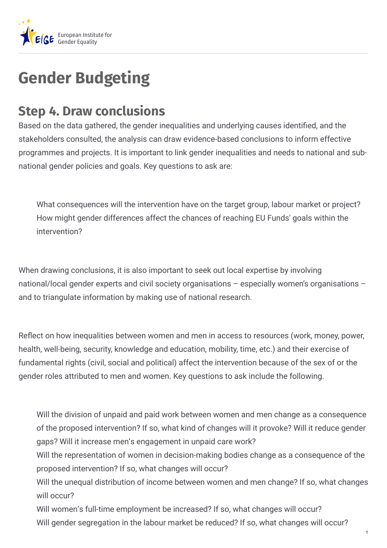

## **Gender Budgeting**

## **Step 4. Draw conclusions**

Based on the data gathered, the gender inequalities and underlying causes identified, and the stakeholders consulted, the analysis can draw evidence-based conclusions to inform effective programmes and projects. It is important to link gender inequalities and needs to national and subnational gender policies and goals. Key questions to ask are:

What consequences will the intervention have on the target group, labour market or project? How might gender differences affect the chances of reaching EU Funds' goals within the intervention?

When drawing conclusions, it is also important to seek out local expertise by involving national/local gender experts and civil society organisations – especially women's organisations – and to triangulate information by making use of national research.

Reflect on how inequalities between women and men in access to resources (work, money, power, health, well-being, security, knowledge and education, mobility, time, etc.) and their exercise of fundamental rights (civil, social and political) affect the intervention because of the sex of or the gender roles attributed to men and women. Key questions to ask include the following.

Will the division of unpaid and paid work between women and men change as a consequence of the proposed intervention? If so, what kind of changes will it provoke? Will it reduce gender gaps? Will it increase men's engagement in unpaid care work?

Will the representation of women in decision-making bodies change as a consequence of the proposed intervention? If so, what changes will occur?

Will the unequal distribution of income between women and men change? If so, what changes will occur?

Will women's full-time employment be increased? If so, what changes will occur? Will gender segregation in the labour market be reduced? If so, what changes will occur?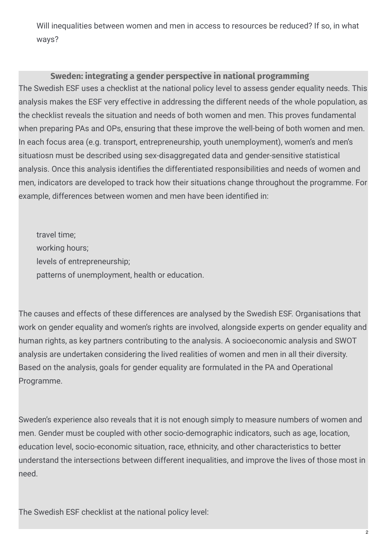Will inequalities between women and men in access to resources be reduced? If so, in what ways?

## **Sweden: integrating a gender perspective in national programming**

The Swedish ESF uses a checklist at the national policy level to assess gender equality needs. This analysis makes the ESF very effective in addressing the different needs of the whole population, as the checklist reveals the situation and needs of both women and men. This proves fundamental when preparing PAs and OPs, ensuring that these improve the well-being of both women and men. In each focus area (e.g. transport, entrepreneurship, youth unemployment), women's and men's situatiosn must be described using sex-disaggregated data and gender-sensitive statistical analysis. Once this analysis identifies the differentiated responsibilities and needs of women and men, indicators are developed to track how their situations change throughout the programme. For example, differences between women and men have been identified in:

travel time; working hours; levels of entrepreneurship; patterns of unemployment, health or education.

The causes and effects of these differences are analysed by the Swedish ESF. Organisations that work on gender equality and women's rights are involved, alongside experts on gender equality and human rights, as key partners contributing to the analysis. A socioeconomic analysis and SWOT analysis are undertaken considering the lived realities of women and men in all their diversity. Based on the analysis, goals for gender equality are formulated in the PA and Operational Programme.

Sweden's experience also reveals that it is not enough simply to measure numbers of women and men. Gender must be coupled with other socio-demographic indicators, such as age, location, education level, socio-economic situation, race, ethnicity, and other characteristics to better understand the intersections between different inequalities, and improve the lives of those most in need.

The Swedish ESF checklist at the national policy level: